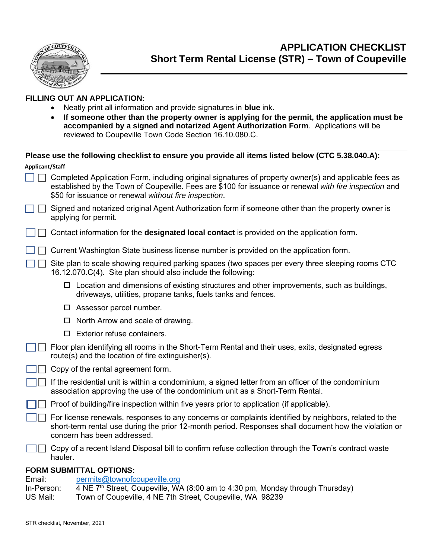

### **FILLING OUT AN APPLICATION:**

- Neatly print all information and provide signatures in **blue** ink.
- **If someone other than the property owner is applying for the permit, the application must be accompanied by a signed and notarized Agent Authorization Form**. Applications will be reviewed to Coupeville Town Code Section 16.10.080.C.

|                 |                                                                                                                                                                                      | Please use the following checklist to ensure you provide all items listed below (CTC 5.38.040.A):                                                                                                                                                                        |  |
|-----------------|--------------------------------------------------------------------------------------------------------------------------------------------------------------------------------------|--------------------------------------------------------------------------------------------------------------------------------------------------------------------------------------------------------------------------------------------------------------------------|--|
| Applicant/Staff |                                                                                                                                                                                      |                                                                                                                                                                                                                                                                          |  |
|                 |                                                                                                                                                                                      | Completed Application Form, including original signatures of property owner(s) and applicable fees as<br>established by the Town of Coupeville. Fees are \$100 for issuance or renewal with fire inspection and<br>\$50 for issuance or renewal without fire inspection. |  |
|                 | Signed and notarized original Agent Authorization form if someone other than the property owner is<br>applying for permit.                                                           |                                                                                                                                                                                                                                                                          |  |
|                 | Contact information for the <b>designated local contact</b> is provided on the application form.                                                                                     |                                                                                                                                                                                                                                                                          |  |
|                 |                                                                                                                                                                                      | Current Washington State business license number is provided on the application form.                                                                                                                                                                                    |  |
|                 |                                                                                                                                                                                      | Site plan to scale showing required parking spaces (two spaces per every three sleeping rooms CTC<br>16.12.070.C(4). Site plan should also include the following:                                                                                                        |  |
|                 |                                                                                                                                                                                      | $\Box$ Location and dimensions of existing structures and other improvements, such as buildings,<br>driveways, utilities, propane tanks, fuels tanks and fences.                                                                                                         |  |
|                 |                                                                                                                                                                                      | $\square$ Assessor parcel number.                                                                                                                                                                                                                                        |  |
|                 |                                                                                                                                                                                      | North Arrow and scale of drawing.                                                                                                                                                                                                                                        |  |
|                 |                                                                                                                                                                                      | $\Box$ Exterior refuse containers.                                                                                                                                                                                                                                       |  |
|                 |                                                                                                                                                                                      | Floor plan identifying all rooms in the Short-Term Rental and their uses, exits, designated egress<br>route(s) and the location of fire extinguisher(s).                                                                                                                 |  |
|                 | Copy of the rental agreement form.                                                                                                                                                   |                                                                                                                                                                                                                                                                          |  |
|                 | If the residential unit is within a condominium, a signed letter from an officer of the condominium<br>association approving the use of the condominium unit as a Short-Term Rental. |                                                                                                                                                                                                                                                                          |  |
|                 | Proof of building/fire inspection within five years prior to application (if applicable).                                                                                            |                                                                                                                                                                                                                                                                          |  |
|                 |                                                                                                                                                                                      | For license renewals, responses to any concerns or complaints identified by neighbors, related to the<br>short-term rental use during the prior 12-month period. Responses shall document how the violation or<br>concern has been addressed.                            |  |
|                 | hauler.                                                                                                                                                                              | Copy of a recent Island Disposal bill to confirm refuse collection through the Town's contract waste                                                                                                                                                                     |  |
|                 |                                                                                                                                                                                      | <b>FORM SUBMITTAL OPTIONS:</b>                                                                                                                                                                                                                                           |  |

### Email: [permits@townofcoupeville.org](mailto:permits@townofcoupeville.org)<br>In-Person: 4 NE 7<sup>th</sup> Street. Coupeville. WA 4 NE  $7<sup>th</sup>$  Street, Coupeville, WA (8:00 am to 4:30 pm, Monday through Thursday) US Mail: Town of Coupeville, 4 NE 7th Street, Coupeville, WA 98239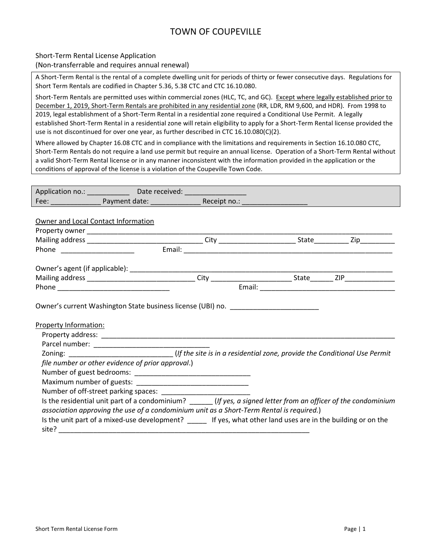# TOWN OF COUPEVILLE

### Short-Term Rental License Application

(Non-transferrable and requires annual renewal)

A Short-Term Rental is the rental of a complete dwelling unit for periods of thirty or fewer consecutive days. Regulations for Short Term Rentals are codified in Chapter 5.36, 5.38 CTC and CTC 16.10.080.

Short-Term Rentals are permitted uses within commercial zones (HLC, TC, and GC). Except where legally established prior to December 1, 2019, Short-Term Rentals are prohibited in any residential zone (RR, LDR, RM 9,600, and HDR). From 1998 to 2019, legal establishment of a Short-Term Rental in a residential zone required a Conditional Use Permit. A legally established Short-Term Rental in a residential zone will retain eligibility to apply for a Short-Term Rental license provided the use is not discontinued for over one year, as further described in CTC 16.10.080(C)(2).

Where allowed by Chapter 16.08 CTC and in compliance with the limitations and requirements in Section 16.10.080 CTC, Short-Term Rentals do not require a land use permit but require an annual license. Operation of a Short-Term Rental without a valid Short-Term Rental license or in any manner inconsistent with the information provided in the application or the conditions of approval of the license is a violation of the Coupeville Town Code.

|                                                                                                                                                                                                           |                                                   | Application no.: _______________ Date received: ___________________ |                                                                                  |  |
|-----------------------------------------------------------------------------------------------------------------------------------------------------------------------------------------------------------|---------------------------------------------------|---------------------------------------------------------------------|----------------------------------------------------------------------------------|--|
|                                                                                                                                                                                                           |                                                   |                                                                     |                                                                                  |  |
| Owner and Local Contact Information                                                                                                                                                                       |                                                   |                                                                     |                                                                                  |  |
|                                                                                                                                                                                                           |                                                   |                                                                     |                                                                                  |  |
|                                                                                                                                                                                                           |                                                   |                                                                     |                                                                                  |  |
|                                                                                                                                                                                                           |                                                   |                                                                     |                                                                                  |  |
|                                                                                                                                                                                                           |                                                   |                                                                     |                                                                                  |  |
|                                                                                                                                                                                                           |                                                   |                                                                     |                                                                                  |  |
|                                                                                                                                                                                                           |                                                   |                                                                     |                                                                                  |  |
|                                                                                                                                                                                                           |                                                   |                                                                     |                                                                                  |  |
| Property Information:                                                                                                                                                                                     |                                                   |                                                                     | Owner's current Washington State business license (UBI) no. ____________________ |  |
|                                                                                                                                                                                                           |                                                   |                                                                     |                                                                                  |  |
|                                                                                                                                                                                                           | file number or other evidence of prior approval.) |                                                                     |                                                                                  |  |
|                                                                                                                                                                                                           |                                                   |                                                                     |                                                                                  |  |
|                                                                                                                                                                                                           |                                                   |                                                                     |                                                                                  |  |
| Is the residential unit part of a condominium? ______ (If yes, a signed letter from an officer of the condominium                                                                                         |                                                   |                                                                     |                                                                                  |  |
| association approving the use of a condominium unit as a Short-Term Rental is required.)<br>Is the unit part of a mixed-use development? _____ If yes, what other land uses are in the building or on the |                                                   |                                                                     |                                                                                  |  |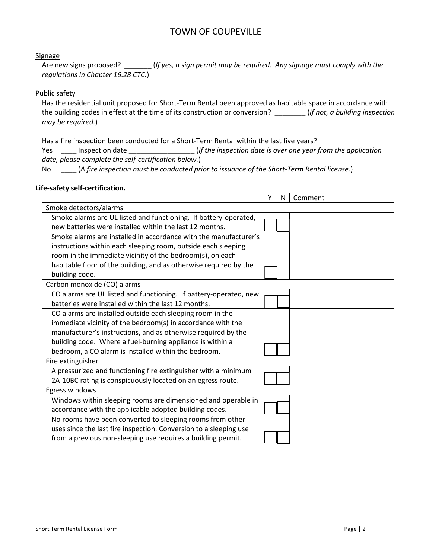## TOWN OF COUPEVILLE

#### **Signage**

Are new signs proposed? \_\_\_\_\_\_\_ (*If yes, a sign permit may be required. Any signage must comply with the regulations in Chapter 16.28 CTC.*)

### Public safety

Has the residential unit proposed for Short-Term Rental been approved as habitable space in accordance with the building codes in effect at the time of its construction or conversion? \_\_\_\_\_\_\_\_ (*If not, a building inspection may be required.*)

Has a fire inspection been conducted for a Short-Term Rental within the last five years?

Yes \_\_\_\_ Inspection date \_\_\_\_\_\_\_\_\_\_\_\_\_\_\_\_\_ (*If the inspection date is over one year from the application date, please complete the self-certification below.*)

No \_\_\_\_ (*A fire inspection must be conducted prior to issuance of the Short-Term Rental license.*)

#### **Life-safety self-certification.**

|                                                                   | Υ | N | Comment |  |  |
|-------------------------------------------------------------------|---|---|---------|--|--|
| Smoke detectors/alarms                                            |   |   |         |  |  |
| Smoke alarms are UL listed and functioning. If battery-operated,  |   |   |         |  |  |
| new batteries were installed within the last 12 months.           |   |   |         |  |  |
| Smoke alarms are installed in accordance with the manufacturer's  |   |   |         |  |  |
| instructions within each sleeping room, outside each sleeping     |   |   |         |  |  |
| room in the immediate vicinity of the bedroom(s), on each         |   |   |         |  |  |
| habitable floor of the building, and as otherwise required by the |   |   |         |  |  |
| building code.                                                    |   |   |         |  |  |
| Carbon monoxide (CO) alarms                                       |   |   |         |  |  |
| CO alarms are UL listed and functioning. If battery-operated, new |   |   |         |  |  |
| batteries were installed within the last 12 months.               |   |   |         |  |  |
| CO alarms are installed outside each sleeping room in the         |   |   |         |  |  |
| immediate vicinity of the bedroom(s) in accordance with the       |   |   |         |  |  |
| manufacturer's instructions, and as otherwise required by the     |   |   |         |  |  |
| building code. Where a fuel-burning appliance is within a         |   |   |         |  |  |
| bedroom, a CO alarm is installed within the bedroom.              |   |   |         |  |  |
| Fire extinguisher                                                 |   |   |         |  |  |
| A pressurized and functioning fire extinguisher with a minimum    |   |   |         |  |  |
| 2A-10BC rating is conspicuously located on an egress route.       |   |   |         |  |  |
| Egress windows                                                    |   |   |         |  |  |
| Windows within sleeping rooms are dimensioned and operable in     |   |   |         |  |  |
| accordance with the applicable adopted building codes.            |   |   |         |  |  |
| No rooms have been converted to sleeping rooms from other         |   |   |         |  |  |
| uses since the last fire inspection. Conversion to a sleeping use |   |   |         |  |  |
| from a previous non-sleeping use requires a building permit.      |   |   |         |  |  |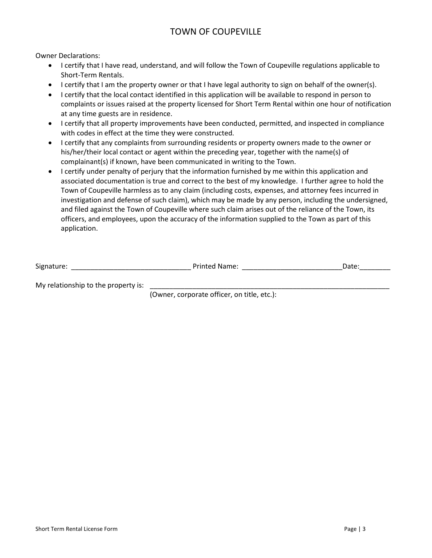## TOWN OF COUPEVILLE

Owner Declarations:

- I certify that I have read, understand, and will follow the Town of Coupeville regulations applicable to Short-Term Rentals.
- I certify that I am the property owner or that I have legal authority to sign on behalf of the owner(s).
- I certify that the local contact identified in this application will be available to respond in person to complaints or issues raised at the property licensed for Short Term Rental within one hour of notification at any time guests are in residence.
- I certify that all property improvements have been conducted, permitted, and inspected in compliance with codes in effect at the time they were constructed.
- I certify that any complaints from surrounding residents or property owners made to the owner or his/her/their local contact or agent within the preceding year, together with the name(s) of complainant(s) if known, have been communicated in writing to the Town.
- I certify under penalty of perjury that the information furnished by me within this application and associated documentation is true and correct to the best of my knowledge. I further agree to hold the Town of Coupeville harmless as to any claim (including costs, expenses, and attorney fees incurred in investigation and defense of such claim), which may be made by any person, including the undersigned, and filed against the Town of Coupeville where such claim arises out of the reliance of the Town, its officers, and employees, upon the accuracy of the information supplied to the Town as part of this application.

| $\ddot{\phantom{1}}$<br>Signature: | Printed Name: | vate. |
|------------------------------------|---------------|-------|
|                                    |               |       |

My relationship to the property is:

(Owner, corporate officer, on title, etc.):